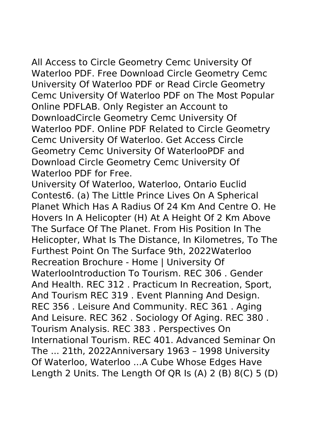All Access to Circle Geometry Cemc University Of Waterloo PDF. Free Download Circle Geometry Cemc University Of Waterloo PDF or Read Circle Geometry Cemc University Of Waterloo PDF on The Most Popular Online PDFLAB. Only Register an Account to DownloadCircle Geometry Cemc University Of Waterloo PDF. Online PDF Related to Circle Geometry Cemc University Of Waterloo. Get Access Circle Geometry Cemc University Of WaterlooPDF and Download Circle Geometry Cemc University Of Waterloo PDF for Free.

University Of Waterloo, Waterloo, Ontario Euclid Contest6. (a) The Little Prince Lives On A Spherical Planet Which Has A Radius Of 24 Km And Centre O. He Hovers In A Helicopter (H) At A Height Of 2 Km Above The Surface Of The Planet. From His Position In The Helicopter, What Is The Distance, In Kilometres, To The Furthest Point On The Surface 9th, 2022Waterloo Recreation Brochure - Home | University Of WaterlooIntroduction To Tourism. REC 306 . Gender And Health. REC 312 . Practicum In Recreation, Sport, And Tourism REC 319 . Event Planning And Design. REC 356 . Leisure And Community. REC 361 . Aging And Leisure. REC 362 . Sociology Of Aging. REC 380 . Tourism Analysis. REC 383 . Perspectives On International Tourism. REC 401. Advanced Seminar On The ... 21th, 2022Anniversary 1963 – 1998 University Of Waterloo, Waterloo ...A Cube Whose Edges Have Length 2 Units. The Length Of QR Is (A) 2 (B) 8(C) 5 (D)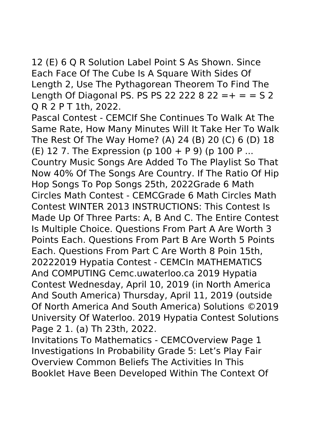12 (E) 6 Q R Solution Label Point S As Shown. Since Each Face Of The Cube Is A Square With Sides Of Length 2, Use The Pythagorean Theorem To Find The Length Of Diagonal PS. PS PS 22 222 8 22 = + = =  $\sqrt{52}$ Q R 2 P T 1th, 2022.

Pascal Contest - CEMCIf She Continues To Walk At The Same Rate, How Many Minutes Will It Take Her To Walk The Rest Of The Way Home? (A) 24 (B) 20 (C) 6 (D) 18 (E) 12 7. The Expression (p 100 + P 9) (p 100 P ... Country Music Songs Are Added To The Playlist So That Now 40% Of The Songs Are Country. If The Ratio Of Hip Hop Songs To Pop Songs 25th, 2022Grade 6 Math Circles Math Contest - CEMCGrade 6 Math Circles Math Contest WINTER 2013 INSTRUCTIONS: This Contest Is Made Up Of Three Parts: A, B And C. The Entire Contest Is Multiple Choice. Questions From Part A Are Worth 3 Points Each. Questions From Part B Are Worth 5 Points Each. Questions From Part C Are Worth 8 Poin 15th, 20222019 Hypatia Contest - CEMCIn MATHEMATICS And COMPUTING Cemc.uwaterloo.ca 2019 Hypatia Contest Wednesday, April 10, 2019 (in North America And South America) Thursday, April 11, 2019 (outside Of North America And South America) Solutions ©2019 University Of Waterloo. 2019 Hypatia Contest Solutions Page 2 1. (a) Th 23th, 2022.

Invitations To Mathematics - CEMCOverview Page 1 Investigations In Probability Grade 5: Let's Play Fair Overview Common Beliefs The Activities In This Booklet Have Been Developed Within The Context Of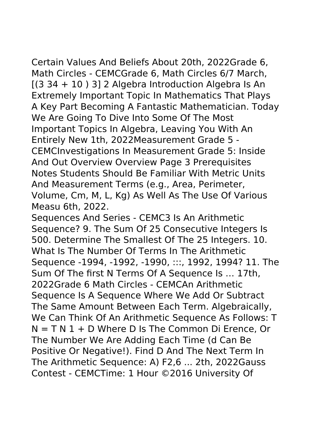Certain Values And Beliefs About 20th, 2022Grade 6, Math Circles - CEMCGrade 6, Math Circles 6/7 March,  $[(3 34 + 10) 3]$  2 Algebra Introduction Algebra Is An Extremely Important Topic In Mathematics That Plays A Key Part Becoming A Fantastic Mathematician. Today We Are Going To Dive Into Some Of The Most Important Topics In Algebra, Leaving You With An Entirely New 1th, 2022Measurement Grade 5 - CEMCInvestigations In Measurement Grade 5: Inside And Out Overview Overview Page 3 Prerequisites Notes Students Should Be Familiar With Metric Units And Measurement Terms (e.g., Area, Perimeter, Volume, Cm, M, L, Kg) As Well As The Use Of Various Measu 6th, 2022.

Sequences And Series - CEMC3 Is An Arithmetic Sequence? 9. The Sum Of 25 Consecutive Integers Is 500. Determine The Smallest Of The 25 Integers. 10. What Is The Number Of Terms In The Arithmetic Sequence -1994, -1992, -1990, :::, 1992, 1994? 11. The Sum Of The first N Terms Of A Sequence Is … 17th, 2022Grade 6 Math Circles - CEMCAn Arithmetic Sequence Is A Sequence Where We Add Or Subtract The Same Amount Between Each Term. Algebraically, We Can Think Of An Arithmetic Sequence As Follows: T  $N = T N 1 + D$  Where D Is The Common Di Erence, Or The Number We Are Adding Each Time (d Can Be Positive Or Negative!). Find D And The Next Term In The Arithmetic Sequence: A) F2,6 ... 2th, 2022Gauss Contest - CEMCTime: 1 Hour ©2016 University Of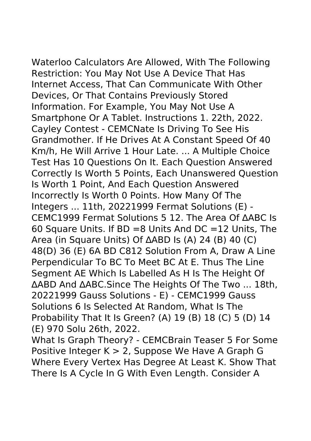Waterloo Calculators Are Allowed, With The Following Restriction: You May Not Use A Device That Has Internet Access, That Can Communicate With Other Devices, Or That Contains Previously Stored Information. For Example, You May Not Use A Smartphone Or A Tablet. Instructions 1. 22th, 2022. Cayley Contest - CEMCNate Is Driving To See His Grandmother. If He Drives At A Constant Speed Of 40 Km/h, He Will Arrive 1 Hour Late. ... A Multiple Choice Test Has 10 Questions On It. Each Question Answered Correctly Is Worth 5 Points, Each Unanswered Question Is Worth 1 Point, And Each Question Answered Incorrectly Is Worth 0 Points. How Many Of The Integers ... 11th, 20221999 Fermat Solutions (E) - CEMC1999 Fermat Solutions 5 12. The Area Of ∆ABC Is 60 Square Units. If  $BD = 8$  Units And  $DC = 12$  Units, The Area (in Square Units) Of ∆ABD Is (A) 24 (B) 40 (C) 48(D) 36 (E) 6A BD C812 Solution From A, Draw A Line Perpendicular To BC To Meet BC At E. Thus The Line Segment AE Which Is Labelled As H Is The Height Of ∆ABD And ∆ABC.Since The Heights Of The Two ... 18th, 20221999 Gauss Solutions - E) - CEMC1999 Gauss Solutions 6 Is Selected At Random, What Is The

Probability That It Is Green? (A) 19 (B) 18 (C) 5 (D) 14 (E) 970 Solu 26th, 2022.

What Is Graph Theory? - CEMCBrain Teaser 5 For Some Positive Integer K > 2, Suppose We Have A Graph G Where Every Vertex Has Degree At Least K. Show That There Is A Cycle In G With Even Length. Consider A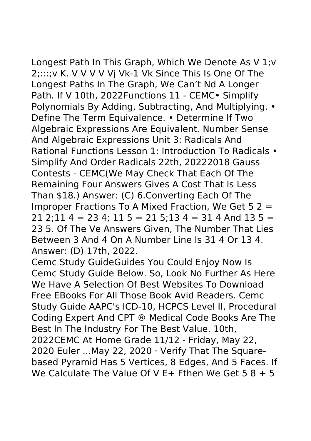Longest Path In This Graph, Which We Denote As V 1;v 2;:::;v K. V V V V Vj Vk-1 Vk Since This Is One Of The Longest Paths In The Graph, We Can't Nd A Longer Path. If V 10th, 2022Functions 11 - CEMC · Simplify Polynomials By Adding, Subtracting, And Multiplying. • Define The Term Equivalence. • Determine If Two Algebraic Expressions Are Equivalent. Number Sense And Algebraic Expressions Unit 3: Radicals And Rational Functions Lesson 1: Introduction To Radicals •

Simplify And Order Radicals 22th, 20222018 Gauss Contests - CEMC(We May Check That Each Of The Remaining Four Answers Gives A Cost That Is Less Than \$18.) Answer: (C) 6.Converting Each Of The Improper Fractions To A Mixed Fraction, We Get 5 2 =  $21$   $2$ :11 4 = 23 4: 11 5 = 21 5:13 4 = 31 4 And 13 5 = 23 5. Of The Ve Answers Given, The Number That Lies Between 3 And 4 On A Number Line Is 31 4 Or 13 4. Answer: (D) 17th, 2022.

Cemc Study GuideGuides You Could Enjoy Now Is Cemc Study Guide Below. So, Look No Further As Here We Have A Selection Of Best Websites To Download Free EBooks For All Those Book Avid Readers. Cemc Study Guide AAPC's ICD-10, HCPCS Level II, Procedural Coding Expert And CPT ® Medical Code Books Are The Best In The Industry For The Best Value. 10th, 2022CEMC At Home Grade 11/12 - Friday, May 22, 2020 Euler ...May 22, 2020 · Verify That The Squarebased Pyramid Has 5 Vertices, 8 Edges, And 5 Faces. If We Calculate The Value Of V F + Fthen We Get  $5.8 + 5$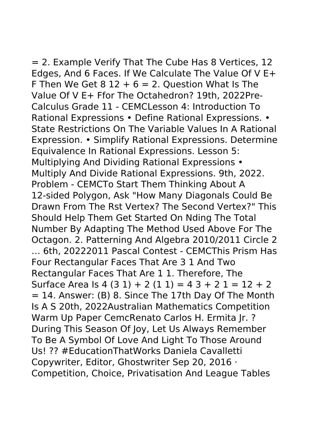= 2. Example Verify That The Cube Has 8 Vertices, 12 Edges, And 6 Faces. If We Calculate The Value Of V E+ F Then We Get  $8$  12 + 6 = 2. Ouestion What Is The Value Of V E+ Ffor The Octahedron? 19th, 2022Pre-Calculus Grade 11 - CEMCLesson 4: Introduction To Rational Expressions • Define Rational Expressions. • State Restrictions On The Variable Values In A Rational Expression. • Simplify Rational Expressions. Determine Equivalence In Rational Expressions. Lesson 5: Multiplying And Dividing Rational Expressions • Multiply And Divide Rational Expressions. 9th, 2022. Problem - CEMCTo Start Them Thinking About A 12-sided Polygon, Ask "How Many Diagonals Could Be Drawn From The Rst Vertex? The Second Vertex?" This Should Help Them Get Started On Nding The Total Number By Adapting The Method Used Above For The Octagon. 2. Patterning And Algebra 2010/2011 Circle 2 … 6th, 20222011 Pascal Contest - CEMCThis Prism Has Four Rectangular Faces That Are 3 1 And Two Rectangular Faces That Are 1 1. Therefore, The Surface Area Is  $4(31) + 2(11) = 43 + 21 = 12 + 2$  $= 14$ . Answer: (B) 8. Since The 17th Day Of The Month Is A S 20th, 2022Australian Mathematics Competition Warm Up Paper CemcRenato Carlos H. Ermita Jr. ? During This Season Of Joy, Let Us Always Remember To Be A Symbol Of Love And Light To Those Around Us! ?? #EducationThatWorks Daniela Cavalletti Copywriter, Editor, Ghostwriter Sep 20, 2016 · Competition, Choice, Privatisation And League Tables